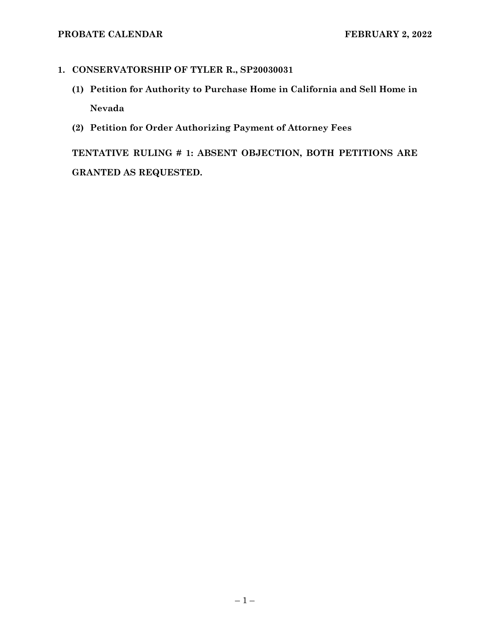## **1. CONSERVATORSHIP OF TYLER R., SP20030031**

- **(1) Petition for Authority to Purchase Home in California and Sell Home in Nevada**
- **(2) Petition for Order Authorizing Payment of Attorney Fees**

**TENTATIVE RULING # 1: ABSENT OBJECTION, BOTH PETITIONS ARE GRANTED AS REQUESTED.**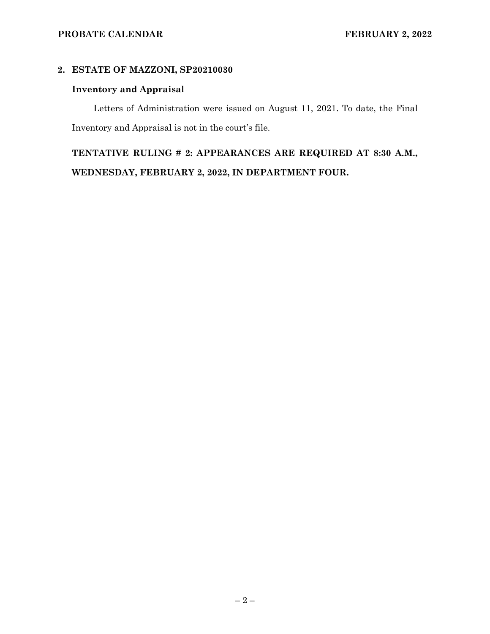## **2. ESTATE OF MAZZONI, SP20210030**

## **Inventory and Appraisal**

Letters of Administration were issued on August 11, 2021. To date, the Final Inventory and Appraisal is not in the court's file.

**TENTATIVE RULING # 2: APPEARANCES ARE REQUIRED AT 8:30 A.M., WEDNESDAY, FEBRUARY 2, 2022, IN DEPARTMENT FOUR.**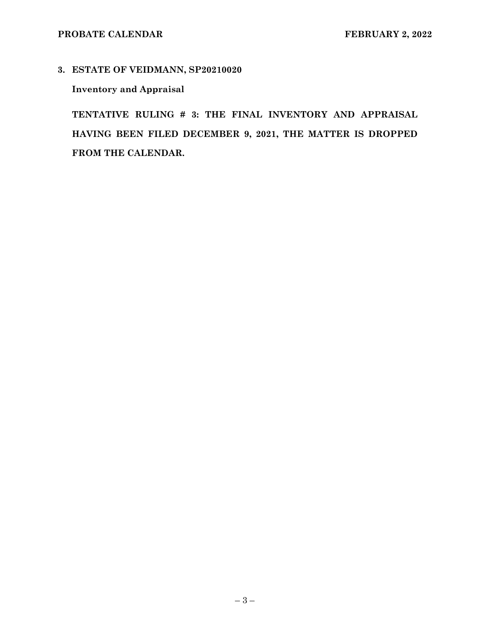## **3. ESTATE OF VEIDMANN, SP20210020**

## **Inventory and Appraisal**

**TENTATIVE RULING # 3: THE FINAL INVENTORY AND APPRAISAL HAVING BEEN FILED DECEMBER 9, 2021, THE MATTER IS DROPPED FROM THE CALENDAR.**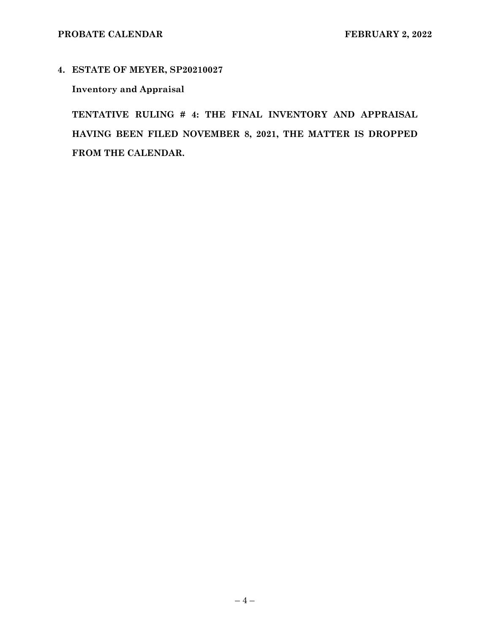**4. ESTATE OF MEYER, SP20210027** 

**Inventory and Appraisal** 

**TENTATIVE RULING # 4: THE FINAL INVENTORY AND APPRAISAL HAVING BEEN FILED NOVEMBER 8, 2021, THE MATTER IS DROPPED FROM THE CALENDAR.**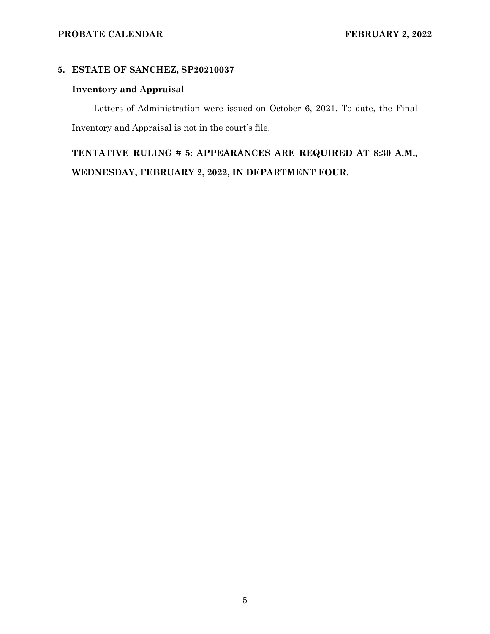#### **5. ESTATE OF SANCHEZ, SP20210037**

## **Inventory and Appraisal**

Letters of Administration were issued on October 6, 2021. To date, the Final Inventory and Appraisal is not in the court's file.

**TENTATIVE RULING # 5: APPEARANCES ARE REQUIRED AT 8:30 A.M., WEDNESDAY, FEBRUARY 2, 2022, IN DEPARTMENT FOUR.**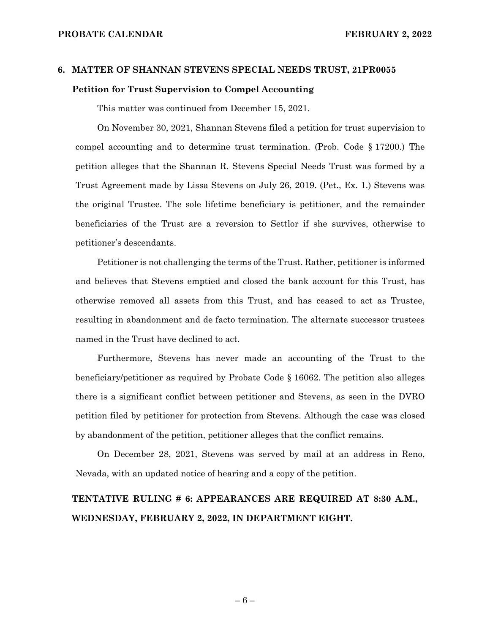# **6. MATTER OF SHANNAN STEVENS SPECIAL NEEDS TRUST, 21PR0055 Petition for Trust Supervision to Compel Accounting**

This matter was continued from December 15, 2021.

On November 30, 2021, Shannan Stevens filed a petition for trust supervision to compel accounting and to determine trust termination. (Prob. Code § 17200.) The petition alleges that the Shannan R. Stevens Special Needs Trust was formed by a Trust Agreement made by Lissa Stevens on July 26, 2019. (Pet., Ex. 1.) Stevens was the original Trustee. The sole lifetime beneficiary is petitioner, and the remainder beneficiaries of the Trust are a reversion to Settlor if she survives, otherwise to petitioner's descendants.

Petitioner is not challenging the terms of the Trust. Rather, petitioner is informed and believes that Stevens emptied and closed the bank account for this Trust, has otherwise removed all assets from this Trust, and has ceased to act as Trustee, resulting in abandonment and de facto termination. The alternate successor trustees named in the Trust have declined to act.

Furthermore, Stevens has never made an accounting of the Trust to the beneficiary/petitioner as required by Probate Code § 16062. The petition also alleges there is a significant conflict between petitioner and Stevens, as seen in the DVRO petition filed by petitioner for protection from Stevens. Although the case was closed by abandonment of the petition, petitioner alleges that the conflict remains.

On December 28, 2021, Stevens was served by mail at an address in Reno, Nevada, with an updated notice of hearing and a copy of the petition.

## **TENTATIVE RULING # 6: APPEARANCES ARE REQUIRED AT 8:30 A.M., WEDNESDAY, FEBRUARY 2, 2022, IN DEPARTMENT EIGHT.**